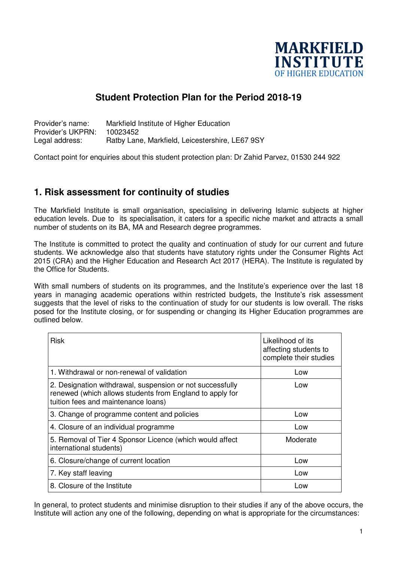

## **Student Protection Plan for the Period 2018-19**

Provider's name: Markfield Institute of Higher Education Provider's UKPRN: 10023452 Legal address: Ratby Lane, Markfield, Leicestershire, LE67 9SY

Contact point for enquiries about this student protection plan: Dr Zahid Parvez, 01530 244 922

#### **1. Risk assessment for continuity of studies**

The Markfield Institute is small organisation, specialising in delivering Islamic subjects at higher education levels. Due to its specialisation, it caters for a specific niche market and attracts a small number of students on its BA, MA and Research degree programmes.

The Institute is committed to protect the quality and continuation of study for our current and future students. We acknowledge also that students have statutory rights under the Consumer Rights Act 2015 (CRA) and the Higher Education and Research Act 2017 (HERA). The Institute is regulated by the Office for Students.

With small numbers of students on its programmes, and the Institute's experience over the last 18 years in managing academic operations within restricted budgets, the Institute's risk assessment suggests that the level of risks to the continuation of study for our students is low overall. The risks posed for the Institute closing, or for suspending or changing its Higher Education programmes are outlined below.

| <b>Risk</b>                                                                                                                                                  | Likelihood of its<br>affecting students to<br>complete their studies |
|--------------------------------------------------------------------------------------------------------------------------------------------------------------|----------------------------------------------------------------------|
| 1. Withdrawal or non-renewal of validation                                                                                                                   | Low                                                                  |
| 2. Designation withdrawal, suspension or not successfully<br>renewed (which allows students from England to apply for<br>tuition fees and maintenance loans) | Low                                                                  |
| 3. Change of programme content and policies                                                                                                                  | Low                                                                  |
| 4. Closure of an individual programme                                                                                                                        | Low                                                                  |
| 5. Removal of Tier 4 Sponsor Licence (which would affect<br>international students)                                                                          | Moderate                                                             |
| 6. Closure/change of current location                                                                                                                        | Low                                                                  |
| 7. Key staff leaving                                                                                                                                         | Low                                                                  |
| 8. Closure of the Institute                                                                                                                                  | Low                                                                  |

In general, to protect students and minimise disruption to their studies if any of the above occurs, the Institute will action any one of the following, depending on what is appropriate for the circumstances: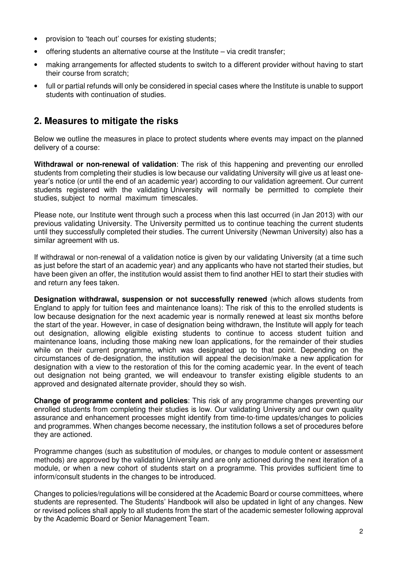- provision to 'teach out' courses for existing students;
- offering students an alternative course at the Institute via credit transfer;
- making arrangements for affected students to switch to a different provider without having to start their course from scratch;
- full or partial refunds will only be considered in special cases where the Institute is unable to support students with continuation of studies.

## **2. Measures to mitigate the risks**

Below we outline the measures in place to protect students where events may impact on the planned delivery of a course:

**Withdrawal or non-renewal of validation**: The risk of this happening and preventing our enrolled students from completing their studies is low because our validating University will give us at least oneyear's notice (or until the end of an academic year) according to our validation agreement. Our current students registered with the validating University will normally be permitted to complete their studies, subject to normal maximum timescales.

Please note, our Institute went through such a process when this last occurred (in Jan 2013) with our previous validating University. The University permitted us to continue teaching the current students until they successfully completed their studies. The current University (Newman University) also has a similar agreement with us.

If withdrawal or non-renewal of a validation notice is given by our validating University (at a time such as just before the start of an academic year) and any applicants who have not started their studies, but have been given an offer, the institution would assist them to find another HEI to start their studies with and return any fees taken.

**Designation withdrawal, suspension or not successfully renewed** (which allows students from England to apply for tuition fees and maintenance loans): The risk of this to the enrolled students is low because designation for the next academic year is normally renewed at least six months before the start of the year. However, in case of designation being withdrawn, the Institute will apply for teach out designation, allowing eligible existing students to continue to access student tuition and maintenance loans, including those making new loan applications, for the remainder of their studies while on their current programme, which was designated up to that point. Depending on the circumstances of de-designation, the institution will appeal the decision/make a new application for designation with a view to the restoration of this for the coming academic year. In the event of teach out designation not being granted, we will endeavour to transfer existing eligible students to an approved and designated alternate provider, should they so wish.

**Change of programme content and policies**: This risk of any programme changes preventing our enrolled students from completing their studies is low. Our validating University and our own quality assurance and enhancement processes might identify from time-to-time updates/changes to policies and programmes. When changes become necessary, the institution follows a set of procedures before they are actioned.

Programme changes (such as substitution of modules, or changes to module content or assessment methods) are approved by the validating University and are only actioned during the next iteration of a module, or when a new cohort of students start on a programme. This provides sufficient time to inform/consult students in the changes to be introduced.

Changes to policies/regulations will be considered at the Academic Board or course committees, where students are represented. The Students' Handbook will also be updated in light of any changes. New or revised polices shall apply to all students from the start of the academic semester following approval by the Academic Board or Senior Management Team.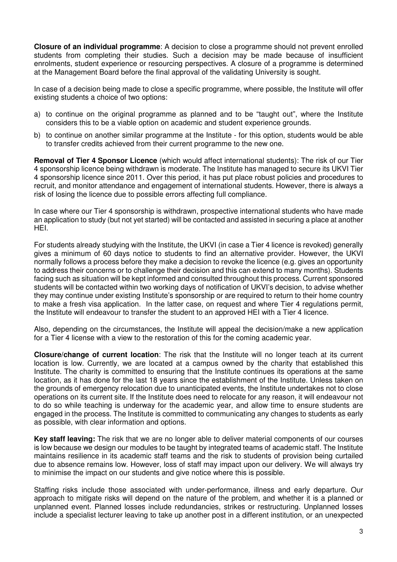**Closure of an individual programme**: A decision to close a programme should not prevent enrolled students from completing their studies. Such a decision may be made because of insufficient enrolments, student experience or resourcing perspectives. A closure of a programme is determined at the Management Board before the final approval of the validating University is sought.

In case of a decision being made to close a specific programme, where possible, the Institute will offer existing students a choice of two options:

- a) to continue on the original programme as planned and to be "taught out", where the Institute considers this to be a viable option on academic and student experience grounds.
- b) to continue on another similar programme at the Institute for this option, students would be able to transfer credits achieved from their current programme to the new one.

**Removal of Tier 4 Sponsor Licence** (which would affect international students): The risk of our Tier 4 sponsorship licence being withdrawn is moderate. The Institute has managed to secure its UKVI Tier 4 sponsorship licence since 2011. Over this period, it has put place robust policies and procedures to recruit, and monitor attendance and engagement of international students. However, there is always a risk of losing the licence due to possible errors affecting full compliance.

In case where our Tier 4 sponsorship is withdrawn, prospective international students who have made an application to study (but not yet started) will be contacted and assisted in securing a place at another HEI.

For students already studying with the Institute, the UKVI (in case a Tier 4 licence is revoked) generally gives a minimum of 60 days notice to students to find an alternative provider. However, the UKVI normally follows a process before they make a decision to revoke the licence (e.g. gives an opportunity to address their concerns or to challenge their decision and this can extend to many months). Students facing such as situation will be kept informed and consulted throughout this process. Current sponsored students will be contacted within two working days of notification of UKVI's decision, to advise whether they may continue under existing Institute's sponsorship or are required to return to their home country to make a fresh visa application. In the latter case, on request and where Tier 4 regulations permit, the Institute will endeavour to transfer the student to an approved HEI with a Tier 4 licence.

Also, depending on the circumstances, the Institute will appeal the decision/make a new application for a Tier 4 license with a view to the restoration of this for the coming academic year.

**Closure/change of current location**: The risk that the Institute will no longer teach at its current location is low. Currently, we are located at a campus owned by the charity that established this Institute. The charity is committed to ensuring that the Institute continues its operations at the same location, as it has done for the last 18 years since the establishment of the Institute. Unless taken on the grounds of emergency relocation due to unanticipated events, the Institute undertakes not to close operations on its current site. If the Institute does need to relocate for any reason, it will endeavour not to do so while teaching is underway for the academic year, and allow time to ensure students are engaged in the process. The Institute is committed to communicating any changes to students as early as possible, with clear information and options.

**Key staff leaving:** The risk that we are no longer able to deliver material components of our courses is low because we design our modules to be taught by integrated teams of academic staff. The Institute maintains resilience in its academic staff teams and the risk to students of provision being curtailed due to absence remains low. However, loss of staff may impact upon our delivery. We will always try to minimise the impact on our students and give notice where this is possible.

Staffing risks include those associated with under-performance, illness and early departure. Our approach to mitigate risks will depend on the nature of the problem, and whether it is a planned or unplanned event. Planned losses include redundancies, strikes or restructuring. Unplanned losses include a specialist lecturer leaving to take up another post in a different institution, or an unexpected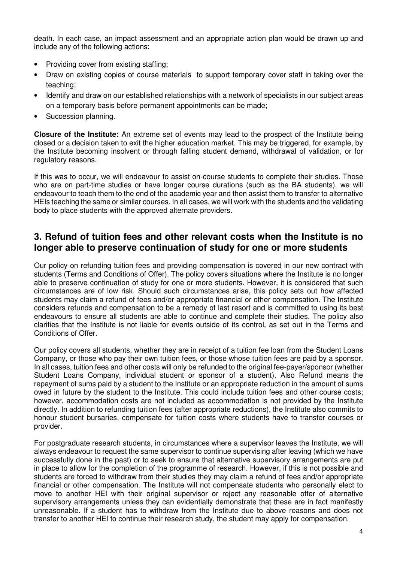death. In each case, an impact assessment and an appropriate action plan would be drawn up and include any of the following actions:

- Providing cover from existing staffing:
- Draw on existing copies of course materials to support temporary cover staff in taking over the teaching;
- Identify and draw on our established relationships with a network of specialists in our subject areas on a temporary basis before permanent appointments can be made;
- Succession planning.

**Closure of the Institute:** An extreme set of events may lead to the prospect of the Institute being closed or a decision taken to exit the higher education market. This may be triggered, for example, by the Institute becoming insolvent or through falling student demand, withdrawal of validation, or for regulatory reasons.

If this was to occur, we will endeavour to assist on-course students to complete their studies. Those who are on part-time studies or have longer course durations (such as the BA students), we will endeavour to teach them to the end of the academic year and then assist them to transfer to alternative HEIs teaching the same or similar courses. In all cases, we will work with the students and the validating body to place students with the approved alternate providers.

#### **3. Refund of tuition fees and other relevant costs when the Institute is no longer able to preserve continuation of study for one or more students**

Our policy on refunding tuition fees and providing compensation is covered in our new contract with students (Terms and Conditions of Offer). The policy covers situations where the Institute is no longer able to preserve continuation of study for one or more students. However, it is considered that such circumstances are of low risk. Should such circumstances arise, this policy sets out how affected students may claim a refund of fees and/or appropriate financial or other compensation. The Institute considers refunds and compensation to be a remedy of last resort and is committed to using its best endeavours to ensure all students are able to continue and complete their studies. The policy also clarifies that the Institute is not liable for events outside of its control, as set out in the Terms and Conditions of Offer.

Our policy covers all students, whether they are in receipt of a tuition fee loan from the Student Loans Company, or those who pay their own tuition fees, or those whose tuition fees are paid by a sponsor. In all cases, tuition fees and other costs will only be refunded to the original fee-payer/sponsor (whether Student Loans Company, individual student or sponsor of a student). Also Refund means the repayment of sums paid by a student to the Institute or an appropriate reduction in the amount of sums owed in future by the student to the Institute. This could include tuition fees and other course costs; however, accommodation costs are not included as accommodation is not provided by the Institute directly. In addition to refunding tuition fees (after appropriate reductions), the Institute also commits to honour student bursaries, compensate for tuition costs where students have to transfer courses or provider.

For postgraduate research students, in circumstances where a supervisor leaves the Institute, we will always endeavour to request the same supervisor to continue supervising after leaving (which we have successfully done in the past) or to seek to ensure that alternative supervisory arrangements are put in place to allow for the completion of the programme of research. However, if this is not possible and students are forced to withdraw from their studies they may claim a refund of fees and/or appropriate financial or other compensation. The Institute will not compensate students who personally elect to move to another HEI with their original supervisor or reject any reasonable offer of alternative supervisory arrangements unless they can evidentially demonstrate that these are in fact manifestly unreasonable. If a student has to withdraw from the Institute due to above reasons and does not transfer to another HEI to continue their research study, the student may apply for compensation.